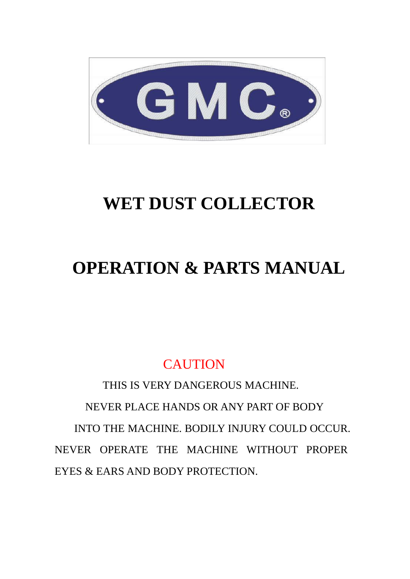

# **WET DUST COLLECTOR**

# **OPERATION & PARTS MANUAL**

# **CAUTION**

 THIS IS VERY DANGEROUS MACHINE. NEVER PLACE HANDS OR ANY PART OF BODY INTO THE MACHINE. BODILY INJURY COULD OCCUR. NEVER OPERATE THE MACHINE WITHOUT PROPER EYES & EARS AND BODY PROTECTION.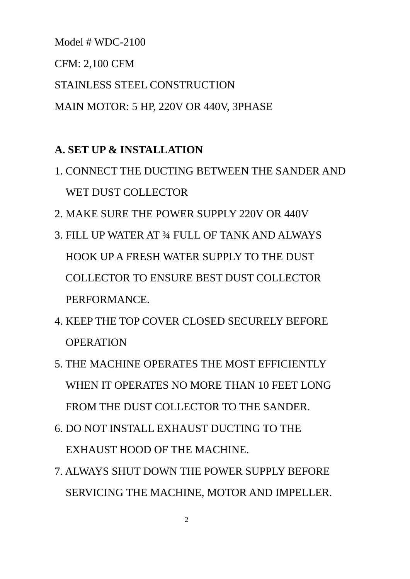Model # WDC-2100

CFM: 2,100 CFM

STAINLESS STEEL CONSTRUCTION

MAIN MOTOR: 5 HP, 220V OR 440V, 3PHASE

# **A. SET UP & INSTALLATION**

- 1. CONNECT THE DUCTING BETWEEN THE SANDER AND WET DUST COLLECTOR
- 2. MAKE SURE THE POWER SUPPLY 220V OR 440V
- 3. FILL UP WATER AT ¾ FULL OF TANK AND ALWAYS HOOK UP A FRESH WATER SUPPLY TO THE DUST COLLECTOR TO ENSURE BEST DUST COLLECTOR PERFORMANCE.
- 4. KEEP THE TOP COVER CLOSED SECURELY BEFORE OPERATION
- 5. THE MACHINE OPERATES THE MOST EFFICIENTLY WHEN IT OPERATES NO MORE THAN 10 FEET LONG FROM THE DUST COLLECTOR TO THE SANDER.
- 6. DO NOT INSTALL EXHAUST DUCTING TO THE EXHAUST HOOD OF THE MACHINE.
- 7. ALWAYS SHUT DOWN THE POWER SUPPLY BEFORE SERVICING THE MACHINE, MOTOR AND IMPELLER.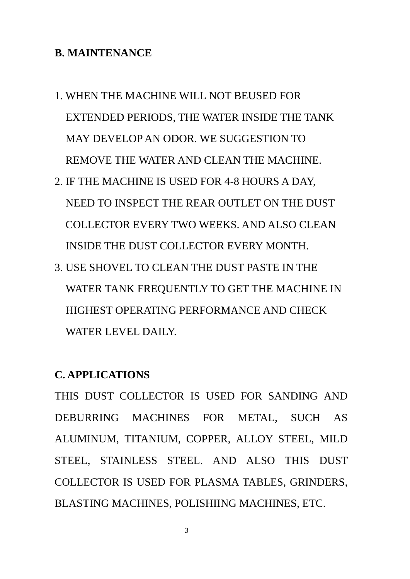#### **B. MAINTENANCE**

- 1. WHEN THE MACHINE WILL NOT BEUSED FOR EXTENDED PERIODS, THE WATER INSIDE THE TANK MAY DEVELOP AN ODOR. WE SUGGESTION TO REMOVE THE WATER AND CLEAN THE MACHINE.
- 2. IF THE MACHINE IS USED FOR 4-8 HOURS A DAY, NEED TO INSPECT THE REAR OUTLET ON THE DUST COLLECTOR EVERY TWO WEEKS. AND ALSO CLEAN INSIDE THE DUST COLLECTOR EVERY MONTH.
- 3. USE SHOVEL TO CLEAN THE DUST PASTE IN THE WATER TANK FREQUENTLY TO GET THE MACHINE IN HIGHEST OPERATING PERFORMANCE AND CHECK WATER LEVEL DAILY.

#### **C. APPLICATIONS**

THIS DUST COLLECTOR IS USED FOR SANDING AND DEBURRING MACHINES FOR METAL, SUCH AS ALUMINUM, TITANIUM, COPPER, ALLOY STEEL, MILD STEEL, STAINLESS STEEL. AND ALSO THIS DUST COLLECTOR IS USED FOR PLASMA TABLES, GRINDERS, BLASTING MACHINES, POLISHIING MACHINES, ETC.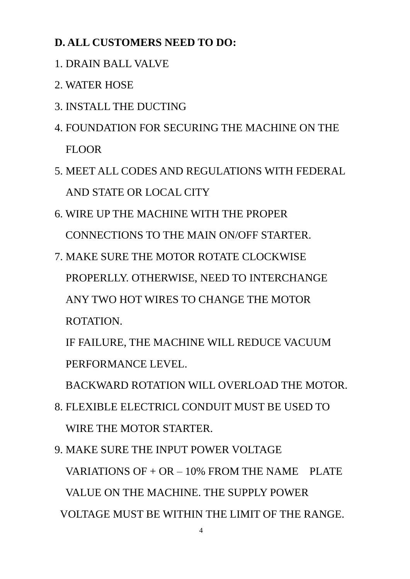# **D. ALL CUSTOMERS NEED TO DO:**

- 1. DRAIN BALL VALVE
- 2. WATER HOSE
- 3. INSTALL THE DUCTING
- 4. FOUNDATION FOR SECURING THE MACHINE ON THE FLOOR
- 5. MEET ALL CODES AND REGULATIONS WITH FEDERAL AND STATE OR LOCAL CITY
- 6. WIRE UP THE MACHINE WITH THE PROPER CONNECTIONS TO THE MAIN ON/OFF STARTER.
- 7. MAKE SURE THE MOTOR ROTATE CLOCKWISE PROPERLLY. OTHERWISE, NEED TO INTERCHANGE ANY TWO HOT WIRES TO CHANGE THE MOTOR ROTATION.

 IF FAILURE, THE MACHINE WILL REDUCE VACUUM PERFORMANCE LEVEL.

BACKWARD ROTATION WILL OVERLOAD THE MOTOR.

- 8. FLEXIBLE ELECTRICL CONDUIT MUST BE USED TO WIRE THE MOTOR STARTER.
- 9. MAKE SURE THE INPUT POWER VOLTAGE VARIATIONS OF  $+$  OR  $-$  10% FROM THE NAME PLATE VALUE ON THE MACHINE. THE SUPPLY POWER VOLTAGE MUST BE WITHIN THE LIMIT OF THE RANGE.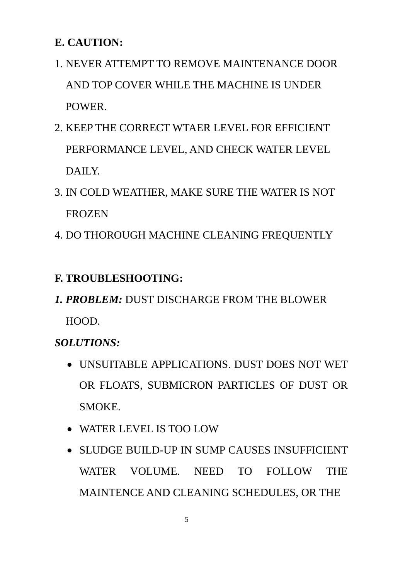## **E. CAUTION:**

- 1. NEVER ATTEMPT TO REMOVE MAINTENANCE DOOR AND TOP COVER WHILE THE MACHINE IS UNDER POWER.
- 2. KEEP THE CORRECT WTAER LEVEL FOR EFFICIENT PERFORMANCE LEVEL, AND CHECK WATER LEVEL DAILY.
- 3. IN COLD WEATHER, MAKE SURE THE WATER IS NOT FROZEN
- 4. DO THOROUGH MACHINE CLEANING FREQUENTLY

# **F. TROUBLESHOOTING:**

*1. PROBLEM:* DUST DISCHARGE FROM THE BLOWER HOOD.

*SOLUTIONS:* 

- UNSUITABLE APPLICATIONS. DUST DOES NOT WET OR FLOATS, SUBMICRON PARTICLES OF DUST OR SMOKE.
- WATER LEVEL IS TOO LOW
- SLUDGE BUILD-UP IN SUMP CAUSES INSUFFICIENT WATER VOLUME. NEED TO FOLLOW THE MAINTENCE AND CLEANING SCHEDULES, OR THE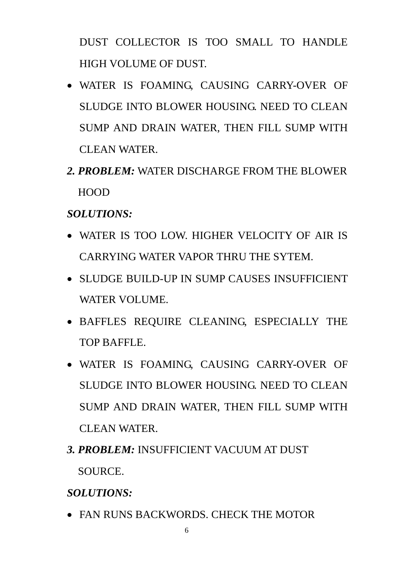DUST COLLECTOR IS TOO SMALL TO HANDLE HIGH VOLUME OF DUST.

- WATER IS FOAMING, CAUSING CARRY-OVER OF SLUDGE INTO BLOWER HOUSING. NEED TO CLEAN SUMP AND DRAIN WATER, THEN FILL SUMP WITH CLEAN WATER.
- *2. PROBLEM:* WATER DISCHARGE FROM THE BLOWER HOOD

### *SOLUTIONS:*

- WATER IS TOO LOW. HIGHER VELOCITY OF AIR IS CARRYING WATER VAPOR THRU THE SYTEM.
- SLUDGE BUILD-UP IN SUMP CAUSES INSUFFICIENT WATER VOLUME.
- BAFFLES REQUIRE CLEANING, ESPECIALLY THE TOP BAFFLE.
- WATER IS FOAMING, CAUSING CARRY-OVER OF SLUDGE INTO BLOWER HOUSING. NEED TO CLEAN SUMP AND DRAIN WATER, THEN FILL SUMP WITH CLEAN WATER.
- *3. PROBLEM:* INSUFFICIENT VACUUM AT DUST SOURCE.

*SOLUTIONS:* 

FAN RUNS BACKWORDS. CHECK THE MOTOR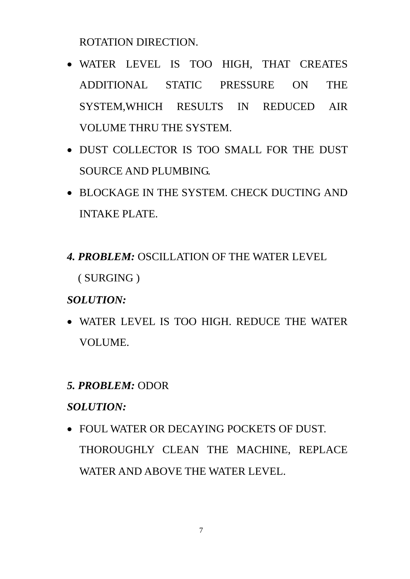ROTATION DIRECTION.

- WATER LEVEL IS TOO HIGH, THAT CREATES ADDITIONAL STATIC PRESSURE ON THE SYSTEM,WHICH RESULTS IN REDUCED AIR VOLUME THRU THE SYSTEM.
- DUST COLLECTOR IS TOO SMALL FOR THE DUST SOURCE AND PLUMBING.
- BLOCKAGE IN THE SYSTEM. CHECK DUCTING AND INTAKE PLATE.
- *4. PROBLEM:* OSCILLATION OF THE WATER LEVEL ( SURGING )

### *SOLUTION:*

 WATER LEVEL IS TOO HIGH. REDUCE THE WATER VOLUME.

### *5. PROBLEM:* ODOR

### *SOLUTION:*

 FOUL WATER OR DECAYING POCKETS OF DUST. THOROUGHLY CLEAN THE MACHINE, REPLACE WATER AND ABOVE THE WATER LEVEL.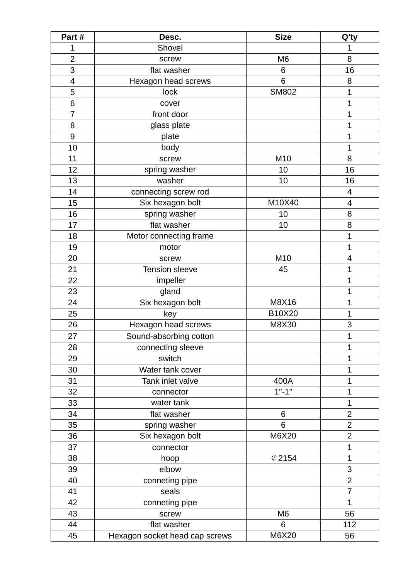| Part#          | Desc.                          | <b>Size</b>       | Q'ty           |
|----------------|--------------------------------|-------------------|----------------|
| 1              | Shovel                         |                   | 1              |
| $\overline{2}$ | screw                          | M <sub>6</sub>    | 8              |
| 3              | flat washer                    | 6                 | 16             |
| 4              | Hexagon head screws            | 6                 | 8              |
| 5              | lock                           | <b>SM802</b>      | 1              |
| 6              | cover                          |                   | 1              |
| 7              | front door                     |                   | 1              |
| 8              | glass plate                    |                   | 1              |
| 9              | plate                          |                   | 1              |
| 10             | body                           |                   | 1              |
| 11             | screw                          | M10               | 8              |
| 12             | spring washer                  | 10                | 16             |
| 13             | washer                         | 10                | 16             |
| 14             | connecting screw rod           |                   | 4              |
| 15             | Six hexagon bolt               | M10X40            | 4              |
| 16             | spring washer                  | 10                | 8              |
| 17             | flat washer                    | 10                | 8              |
| 18             | Motor connecting frame         |                   | 1              |
| 19             | motor                          |                   | 1              |
| 20             | screw                          | M10               | 4              |
| 21             | <b>Tension sleeve</b>          | 45                | 1              |
| 22             | impeller                       |                   | 1              |
| 23             | gland                          |                   | 1              |
| 24             | Six hexagon bolt               | M8X16             | 1              |
| 25             | key                            | B10X20            | 1              |
| 26             | Hexagon head screws            | M8X30             | 3              |
| 27             | Sound-absorbing cotton         |                   | 1              |
| 28             | connecting sleeve              |                   | 1              |
| 29             | switch                         |                   | 1              |
| 30             | Water tank cover               |                   | 1              |
| 31             | Tank inlet valve               | 400A              | 1              |
| 32             | connector                      | $1" - 1"$         | 1              |
| 33             | water tank                     |                   | 1              |
| 34             | flat washer                    | 6                 | $\overline{2}$ |
| 35             | spring washer                  | 6                 | $\overline{2}$ |
| 36             | Six hexagon bolt               | M6X20             | $\overline{2}$ |
| 37             | connector                      |                   | 1              |
| 38             | hoop                           | $\mathcal{O}2154$ | 1              |
| 39             | elbow                          |                   | 3              |
| 40             | conneting pipe                 |                   | $\overline{2}$ |
| 41             | seals                          |                   | $\overline{7}$ |
| 42             | conneting pipe                 |                   | $\mathbf 1$    |
| 43             | screw                          | M <sub>6</sub>    | 56             |
| 44             | flat washer                    | 6                 | 112            |
| 45             | Hexagon socket head cap screws | M6X20             | 56             |